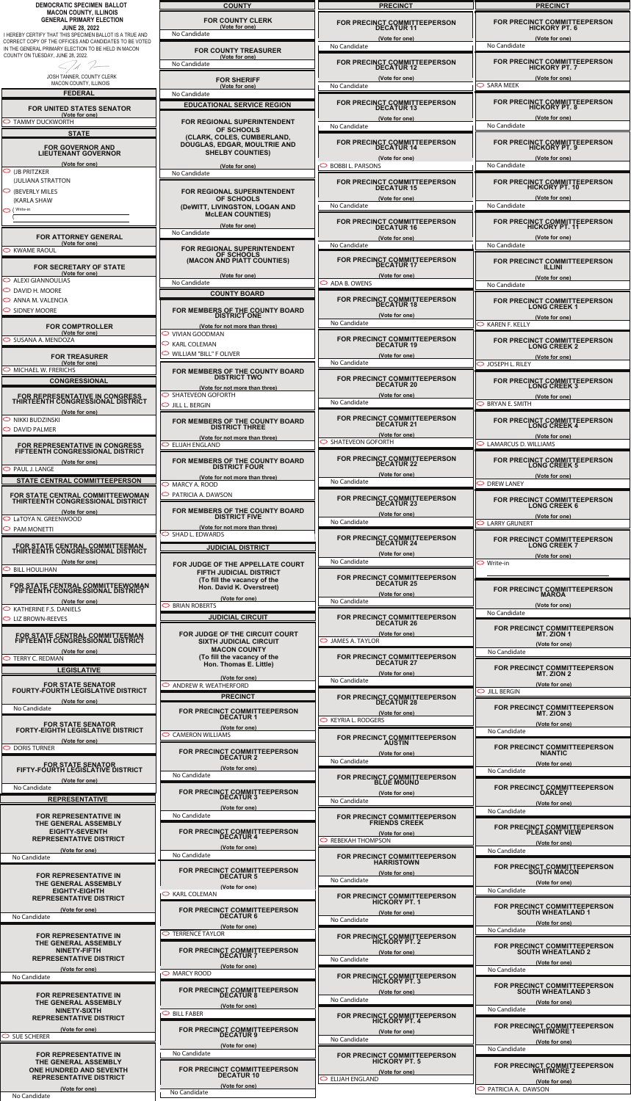| DEMOCRATIC SPECIMEN BALLOT                                                                                         | <b>COUNTY</b>                                    | <b>PRECINCT</b>                                   | <b>PRECINCT</b>                                |
|--------------------------------------------------------------------------------------------------------------------|--------------------------------------------------|---------------------------------------------------|------------------------------------------------|
| <b>MACON COUNTY, ILLINOIS</b>                                                                                      |                                                  |                                                   |                                                |
| <b>GENERAL PRIMARY ELECTION</b>                                                                                    | <b>FOR COUNTY CLERK</b>                          | FOR PRECINCT COMMITTEEPERSON<br>DECATUR 11        | FOR PRECINCT COMMITTEEPERSON<br>HICKORY PT. 6  |
| <b>JUNE 28, 2022</b>                                                                                               | (Vote for one)                                   |                                                   |                                                |
| I HEREBY CERTIFY THAT THIS SPECIMEN BALLOT IS A TRUE AND<br>CORRECT COPY OF THE OFFICES AND CANDIDATES TO BE VOTED | No Candidate                                     | (Vote for one)                                    | (Vote for one)                                 |
| IN THE GENERAL PRIMARY ELECTION TO BE HELD IN MACON                                                                |                                                  | No Candidate                                      | No Candidate                                   |
| COUNTY ON TUESDAY, JUNE 28, 2022.                                                                                  | <b>FOR COUNTY TREASURER</b><br>(Vote for one)    |                                                   |                                                |
|                                                                                                                    | No Candidate                                     | FOR PRECINCT COMMITTEEPERSON<br>DECATUR 12        | FOR PRECINCT COMMITTEEPERSON<br>HICKORY PT. 7  |
|                                                                                                                    |                                                  |                                                   |                                                |
| JOSH TANNER, COUNTY CLERK                                                                                          | <b>FOR SHERIFF</b>                               | (Vote for one)                                    | (Vote for one)                                 |
| MACON COUNTY, ILLINOIS                                                                                             | (Vote for one)                                   | No Candidate                                      | SARA MEEK                                      |
| <b>FEDERAL</b>                                                                                                     | No Candidate                                     |                                                   |                                                |
|                                                                                                                    |                                                  | FOR PRECINCT COMMITTEEPERSON                      | FOR PRECINCT COMMITTEEPERSON<br>HICKORY PT. 8  |
| <b>FOR UNITED STATES SENATOR</b>                                                                                   | <b>EDUCATIONAL SERVICE REGION</b>                | <b>DECATUR 13</b>                                 |                                                |
| (Vote for one)                                                                                                     |                                                  | (Vote for one)                                    | (Vote for one)                                 |
| <b>TAMMY DUCKWORTH</b>                                                                                             | <b>FOR REGIONAL SUPERINTENDENT</b>               | No Candidate                                      | No Candidate                                   |
| <b>STATE</b>                                                                                                       | <b>OF SCHOOLS</b>                                |                                                   |                                                |
|                                                                                                                    | (CLARK, COLES, CUMBERLAND,                       | FOR PRECINCT COMMITTEEPERSON                      |                                                |
| FOR GOVERNOR AND<br>LIEUTENANT GOVERNOR                                                                            | DOUGLAS, EDGAR, MOULTRIE AND                     | <b>DECATUR 14</b>                                 | FOR PRECINCT COMMITTEEPERSON<br>HICKORY PT. 9  |
|                                                                                                                    | <b>SHELBY COUNTIES)</b>                          | (Vote for one)                                    | (Vote for one)                                 |
| (Vote for one)                                                                                                     | (Vote for one)                                   | <b>BOBBI L. PARSONS</b>                           | No Candidate                                   |
| $\circ$ (jb pritzker                                                                                               | No Candidate                                     |                                                   |                                                |
| (JULIANA STRATTON                                                                                                  |                                                  | FOR PRECINCT COMMITTEEPERSON                      |                                                |
| (BEVERLY MILES                                                                                                     | <b>FOR REGIONAL SUPERINTENDENT</b>               | <b>DECATUR 15</b>                                 | FOR PRECINCT COMMITTEEPERSON<br>HICKORY PT. 10 |
| (KARLA SHAW                                                                                                        | OF SCHOOLS                                       | (Vote for one)                                    | (Vote for one)                                 |
|                                                                                                                    | (DeWITT, LIVINGSTON, LOGAN AND                   | No Candidate                                      | No Candidate                                   |
| $\overline{\bigcirc}$ (Write-in                                                                                    | <b>MCLEAN COUNTIES)</b>                          |                                                   |                                                |
|                                                                                                                    |                                                  | FOR PRECINCT COMMITTEEPERSON                      |                                                |
|                                                                                                                    | (Vote for one)                                   | <b>DECATUR 16</b>                                 | FOR PRECINCT COMMITTEEPERSON<br>HICKORY PT. 11 |
| <b>FOR ATTORNEY GENERAL</b>                                                                                        | No Candidate                                     | (Vote for one)                                    | (Vote for one)                                 |
| (Vote for one)                                                                                                     |                                                  | No Candidate                                      | No Candidate                                   |
| $\supset$ KWAME RAOUL                                                                                              | <b>FOR REGIONAL SUPERINTENDENT</b><br>OF SCHOOLS |                                                   |                                                |
|                                                                                                                    | (MACON AND PIATT COUNTIES)                       | FOR PRECINCT COMMITTEEPERSON                      | FOR PRECINCT COMMITTEEPERSON                   |
| <b>FOR SECRETARY OF STATE</b>                                                                                      |                                                  | <b>DECATUR 17</b>                                 |                                                |
| (Vote for one)                                                                                                     | (Vote for one)                                   | (Vote for one)                                    | (Vote for one)                                 |
| $\circ$ ALEXI GIANNOULIAS                                                                                          | No Candidate                                     | ADA B. OWENS                                      | No Candidate                                   |
| $\circ$ DAVID H. MOORE                                                                                             | <b>COUNTY BOARD</b>                              |                                                   |                                                |
| $\circ$ ANNA M. VALENCIA                                                                                           |                                                  | <b>FOR PRECINCT COMMITTEEPERSON</b>               | FOR PRECINCT COMMITTEEPERSON<br>LONG CREEK 1   |
| SIDNEY MOORE                                                                                                       | FOR MEMBERS OF THE COUNTY BOARD                  | <b>DECATUR 18</b>                                 |                                                |
|                                                                                                                    | <b>DISTRICT ONE</b>                              | (Vote for one)                                    | (Vote for one)                                 |
| <b>FOR COMPTROLLER</b>                                                                                             | (Vote for not more than three)                   | No Candidate                                      | <b>KAREN F. KELLY</b>                          |
| (Vote for one)                                                                                                     | VIVIAN GOODMAN                                   |                                                   |                                                |
| SUSANA A. MENDOZA                                                                                                  | <b>KARL COLEMAN</b>                              | FOR PRECINCT COMMITTEEPERSON                      | FOR PRECINCT COMMITTEEPERSON                   |
|                                                                                                                    |                                                  | <b>DECATUR 19</b>                                 | <b>LONG CREEK 2</b>                            |
| <b>FOR TREASURER</b>                                                                                               | <b>WILLIAM "BILL" F OLIVER</b>                   | (Vote for one)                                    | (Vote for one)                                 |
| (Vote for one)                                                                                                     |                                                  | No Candidate                                      | O JOSEPH L. RILEY                              |
| <b>MICHAEL W. FRERICHS</b>                                                                                         | FOR MEMBERS OF THE COUNTY BOARD                  |                                                   |                                                |
| <b>CONGRESSIONAL</b>                                                                                               | <b>DISTRICT TWO</b>                              | FOR PRECINCT COMMITTEEPERSON<br><b>DECATUR 20</b> | FOR PRECINCT COMMITTEEPERSON                   |
|                                                                                                                    | (Vote for not more than three)                   |                                                   | <b>LONG CREEK 3</b>                            |
| FOR REPRESENTATIVE IN CONGRESS                                                                                     | <b>SHATEVEON GOFORTH</b>                         | (Vote for one)                                    | (Vote for one)                                 |
| THIRTEENTH CONGRESSIONAL DISTRICT                                                                                  | JILL L. BERGIN                                   | No Candidate                                      | <b>BRYAN E. SMITH</b>                          |
| (Vote for one)                                                                                                     |                                                  |                                                   |                                                |
| $\supset$ Nikki Budzinski                                                                                          | FOR MEMBERS OF THE COUNTY BOARD                  | FOR PRECINCT COMMITTEEPERSON<br><b>DECATUR 21</b> | FOR PRECINCT COMMITTEEPERSON<br>LONG CREEK 4   |
| <b>DAVID PALMER</b>                                                                                                | <b>DISTRICT THREE</b>                            |                                                   |                                                |
|                                                                                                                    | (Vote for not more than three)                   | (Vote for one)                                    | (Vote for one)                                 |
| FOR REPRESENTATIVE IN CONGRESS                                                                                     | <b>ELIJAH ENGLAND</b>                            | <b>SHATEVEON GOFORTH</b>                          | <b>LAMARCUS D. WILLIAMS</b>                    |
| FIFTEENTH CONGRESSIONAL DISTRICT                                                                                   |                                                  |                                                   |                                                |
| (Vote for one)                                                                                                     | FOR MEMBERS OF THE COUNTY BOARD                  | FOR PRECINCT COMMITTEEPERSON<br><b>DECATUR 22</b> | FOR PRECINCT COMMITTEEPERSON<br>LONG CREEK 5   |
| PAUL J. LANGE                                                                                                      | <b>DISTRICT FOUR</b>                             |                                                   |                                                |
|                                                                                                                    |                                                  |                                                   |                                                |
|                                                                                                                    | (Vote for not more than three)                   | (Vote for one)                                    | (Vote for one)                                 |
| STATE CENTRAL COMMITTEEPERSON                                                                                      | $\supset$ MARCY A. ROOD                          | No Candidate                                      | <b>DREW LANEY</b>                              |
| FOR STATE CENTRAL COMMITTEEWOMAN                                                                                   | O PATRICIA A. DAWSON                             | FOR PRECINCT COMMITTEEPERSON                      |                                                |

| FOR STATE CENTRAL COMMITTEEWOMAN<br>THIRTEENTH CONGRESSIONAL DISTRICT | PATRICIA A. DAWSON                                                 | FOR PRECINCT COMMITTEEPERSON<br><b>DECATUR 23</b>               |
|-----------------------------------------------------------------------|--------------------------------------------------------------------|-----------------------------------------------------------------|
| (Vote for one)                                                        | FOR MEMBERS OF THE COUNTY BOARD                                    | (Vote for one)                                                  |
| C LaTOYA N. GREENWOOD                                                 | <b>DISTRICT FIVE</b><br>(Vote for not more than three)             | No Candidate                                                    |
| <b>PAM MONETTI</b><br>$\bigcirc$                                      | <b>SHAD L. EDWARDS</b>                                             | FOR PRECINCT COMMITTEEPERSON<br>DECATUR 24                      |
| FOR STATE CENTRAL COMMITTEEMAN<br>THIRTEENTH CONGRESSIONAL DISTRICT   | <b>JUDICIAL DISTRICT</b>                                           | (Vote for one)                                                  |
| (Vote for one)<br>$\circ$ BILL HOULIHAN                               | FOR JUDGE OF THE APPELLATE COURT<br><b>FIFTH JUDICIAL DISTRICT</b> | No Candidate                                                    |
| FOR STATE CENTRAL COMMITTEEWOMAN<br>FIFTEENTH CONGRESSIONAL DISTRICT  | (To fill the vacancy of the<br>Hon. David K. Overstreet)           | FOR PRECINCT COMMITTEEPERSON<br>DECATUR 25                      |
| (Vote for one)                                                        | (Vote for one)<br><b>BRIAN ROBERTS</b>                             | (Vote for one)<br>No Candidate                                  |
| $\circ$ KATHERINE F.S. DANIELS<br>$\circ$ LIZ BROWN-REEVES            | <b>JUDICIAL CIRCUIT</b>                                            | FOR PRECINCT COMMITTEEPERSON<br><b>DECATUR 26</b>               |
| FOR STATE CENTRAL COMMITTEEMAN<br>FIFTEENTH CONGRESSIONAL DISTRICT    | FOR JUDGE OF THE CIRCUIT COURT<br><b>SIXTH JUDICIAL CIRCUIT</b>    | (Vote for one)<br><b>JAMES A. TAYLOR</b><br>◡                   |
| (Vote for one)<br>$\circ$ TERRY C. REDMAN                             | <b>MACON COUNTY</b><br>(To fill the vacancy of the                 | FOR PRECINCT COMMITTEEPERSON                                    |
| <b>LEGISLATIVE</b>                                                    | Hon. Thomas E. Little)                                             | <b>DECATUR 27</b><br>(Vote for one)                             |
| <b>FOR STATE SENATOR</b>                                              | (Vote for one)<br><b>ANDREW R. WEATHERFORD</b>                     | No Candidate                                                    |
| <b>FOURTY-FOURTH LEGISLATIVE DISTRICT</b><br>(Vote for one)           | <b>PRECINCT</b>                                                    | FOR PRECINCT COMMITTEEPERSON<br><b>DECATUR 28</b>               |
| No Candidate                                                          | FOR PRECINCT COMMITTEEPERSON<br><b>DECATUR1</b>                    | (Vote for one)                                                  |
| <b>FOR STATE SENATOR</b><br><b>FORTY-EIGHTH LEGISLATIVE DISTRICT</b>  | (Vote for one)                                                     | <b>KEYRIA L. RODGERS</b>                                        |
| (Vote for one)                                                        | <b>CAMERON WILLIAMS</b>                                            | FOR PRECINCT COMMITTEEPERSON<br><b>AUSTIN</b>                   |
| <b>DORIS TURNER</b>                                                   | FOR PRECINCT COMMITTEEPERSON<br>DECATUR 2                          | (Vote for one)                                                  |
| FOR STATE SENATOR<br>FIFTY-FOURTH LEGISLATIVE DISTRICT                | (Vote for one)<br>No Candidate                                     | No Candidate<br>FOR PRECINCT COMMITTEEPERSON<br>BLUE MOUND      |
| (Vote for one)<br>No Candidate                                        |                                                                    |                                                                 |
| <b>REPRESENTATIVE</b>                                                 | FOR PRECINCT COMMITTEEPERSON<br>DECATUR 3                          | (Vote for one)<br>No Candidate                                  |
| <b>FOR REPRESENTATIVE IN</b>                                          | (Vote for one)<br>No Candidate                                     | FOR PRECINCT COMMITTEEPERSON<br>FRIENDS CREEK                   |
| THE GENERAL ASSEMBLY<br><b>EIGHTY-SEVENTH</b>                         | FOR PRECINCT COMMITTEEPERSON<br>DECATUR 4                          | (Vote for one)                                                  |
| <b>REPRESENTATIVE DISTRICT</b><br>(Vote for one)                      | (Vote for one)                                                     | <b>REBEKAH THOMPSON</b>                                         |
| No Candidate                                                          | No Candidate                                                       | FOR PRECINCT COMMITTEEPERSON<br>HARRISTOWN                      |
| <b>FOR REPRESENTATIVE IN</b>                                          | FOR PRECINCT COMMITTEEPERSON<br><b>DECATUR 5</b>                   | (Vote for one)<br>No Candidate                                  |
| THE GENERAL ASSEMBLY<br><b>EIGHTY-EIGHTH</b>                          | (Vote for one)<br><b>KARL COLEMAN</b>                              |                                                                 |
| <b>REPRESENTATIVE DISTRICT</b>                                        |                                                                    | FOR PRECINCT COMMITTEEPERSON<br>HICKORY PT. 1                   |
| (Vote for one)<br>No Candidate                                        | FOR PRECINCT COMMITTEEPERSON<br><b>DECATUR6</b>                    | (Vote for one)<br>No Candidate                                  |
| <b>FOR REPRESENTATIVE IN</b>                                          | (Vote for one)<br><b>TERRENCE TAYLOR</b>                           |                                                                 |
| THE GENERAL ASSEMBLY<br><b>NINETY-FIFTH</b>                           | FOR PRECINCT COMMITTEEPERSON                                       | FOR PRECINCT COMMITTEEPERSON<br>HICKORY PT. 2<br>(Vote for one) |
| <b>REPRESENTATIVE DISTRICT</b>                                        | <b>DECATUR 7</b><br>(Vote for one)                                 | No Candidate                                                    |
| (Vote for one)<br>No Candidate                                        | <b>MARCY ROOD</b>                                                  | FOR PRECINCT COMMITTEEPERSON<br>HICKORY PT. 3                   |
|                                                                       | FOR PRECINCT COMMITTEEPERSON                                       | (Vote for one)                                                  |

| <b>FOR REPRESENTATIVE IN</b><br>THE GENERAL ASSEMBLY                                     | FOR PRECINCT COMMITTEEPERSON<br><b>DECATUR 8</b><br>(Vote for one) | (Vote for one)<br>No Candidate                                   | <b>SOUTH WHEATLAND 3</b><br>(Vote for one)                                 |
|------------------------------------------------------------------------------------------|--------------------------------------------------------------------|------------------------------------------------------------------|----------------------------------------------------------------------------|
| NINETY-SIXTH                                                                             | <b>BILL FABER</b><br>$\circ$                                       | <b>FOR PRECINCT COMMITTEEPERSON</b>                              | No Candidate                                                               |
| <b>REPRESENTATIVE DISTRICT</b><br>(Vote for one)<br>SUE SCHERER                          | <b>FOR PRECINCT COMMITTEEPERSON</b><br><b>DECATUR 9</b>            | <b>HICKORY PT. 4</b><br>(Vote for one)<br>No Candidate           | <b>FOR PRECINCT COMMITTEEPERSON</b><br><b>WHITMORE 1</b><br>(Vote for one) |
| <b>FOR REPRESENTATIVE IN</b>                                                             | (Vote for one)<br>No Candidate                                     | FOR PRECINCT COMMITTEEPERSON                                     | No Candidate                                                               |
| THE GENERAL ASSEMBLY<br><b>ONE HUNDRED AND SEVENTH</b><br><b>REPRESENTATIVE DISTRICT</b> | FOR PRECINCT COMMITTEEPERSON<br><b>DECATUR 10</b>                  | <b>HICKORY PT. 5</b><br>(Vote for one)<br>$\circ$ ELIJAH ENGLAND | FOR PRECINCT COMMITTEEPERSON<br><b>WHITMORE 2</b><br>(Vote for one)        |
| (Vote for one)<br>No Candidate                                                           | (Vote for one)<br>No Candidate                                     |                                                                  | $\circ$ PATRICIA A. DAWSON                                                 |

| <b>FOR PRECINCT COMMITTEEPERSON</b><br><b>LONG CREEK 6</b>                  |
|-----------------------------------------------------------------------------|
| (Vote for one)                                                              |
| $\circlearrowright$ LARRY GRUNERT                                           |
| FOR PRECINCT COMMITTEEPERSON<br><b>LONG CREEK 7</b><br>(Vote for one)       |
| Write-in                                                                    |
| FOR PRECINCT COMMITTEEPERSON<br><b>MAROA</b>                                |
| (Vote for one)<br>No Candidate                                              |
| <b>FOR PRECINCT COMMITTEEPERSON</b><br><b>MT. ZION 1</b>                    |
| (Vote for one)<br>No Candidate                                              |
| <b>FOR PRECINCT COMMITTEEPERSON</b><br>MT. ZION 2                           |
| (Vote for one)<br>$\circ$ Jill Bergin                                       |
| <b>FOR PRECINCT COMMITTEEPERSON</b><br>MT. ZION 3                           |
| (Vote for one)<br>No Candidate                                              |
| <b>FOR PRECINCT COMMITTEEPERSON</b><br><b>NIANTIC</b>                       |
| (Vote for one)<br>No Candidate                                              |
| <b>FOR PRECINCT COMMITTEEPERSON</b><br><b>OAKLEY</b>                        |
| (Vote for one)<br>No Candidate                                              |
| <b>FOR PRECINCT COMMITTEEPERSON</b><br><b>PLEASANT VIEW</b>                 |
| (Vote for one)<br>No Candidate                                              |
| <b>FOR PRECINCT COMMITTEEPERSON</b><br><b>SOUTH MACON</b><br>(Vote for one) |
| No Candidate                                                                |
| FOR PRECINCT COMMITTEEPERSON<br><b>SOUTH WHEATLAND 1</b><br>(Vote for one)  |
| No Candidate                                                                |
| FOR PRECINCT COMMITTEEPERSON<br><b>SOUTH WHEATLAND 2</b><br>(Vote for one)  |
| No Candidate                                                                |
| FOR PRECINCT COMMITTEEPERSON                                                |